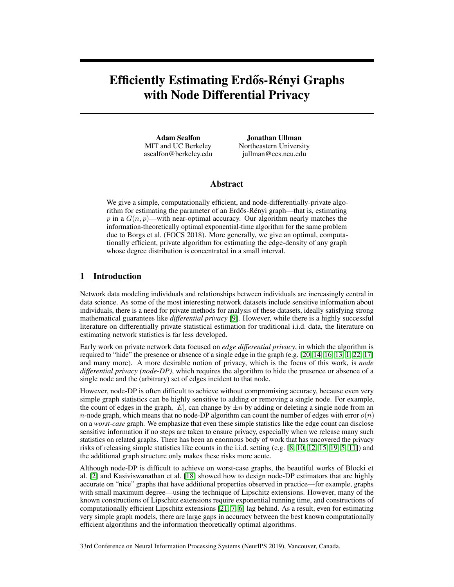# Efficiently Estimating Erdős-Rényi Graphs with Node Differential Privacy

Adam Sealfon MIT and UC Berkeley asealfon@berkeley.edu

Jonathan Ullman Northeastern University jullman@ccs.neu.edu

## Abstract

We give a simple, computationally efficient, and node-differentially-private algorithm for estimating the parameter of an Erdős-Rényi graph—that is, estimating p in a  $G(n, p)$ —with near-optimal accuracy. Our algorithm nearly matches the information-theoretically optimal exponential-time algorithm for the same problem due to Borgs et al. (FOCS 2018). More generally, we give an optimal, computationally efficient, private algorithm for estimating the edge-density of any graph whose degree distribution is concentrated in a small interval.

## 1 Introduction

Network data modeling individuals and relationships between individuals are increasingly central in data science. As some of the most interesting network datasets include sensitive information about individuals, there is a need for private methods for analysis of these datasets, ideally satisfying strong mathematical guarantees like *differential privacy* [9]. However, while there is a highly successful literature on differentially private statistical estimation for traditional i.i.d. data, the literature on estimating network statistics is far less developed.

Early work on private network data focused on *edge differential privacy*, in which the algorithm is required to "hide" the presence or absence of a single edge in the graph (e.g. [20, 14, 16, 13, 1, 22, 17] and many more). A more desirable notion of privacy, which is the focus of this work, is *node differential privacy (node-DP)*, which requires the algorithm to hide the presence or absence of a single node and the (arbitrary) set of edges incident to that node.

However, node-DP is often difficult to achieve without compromising accuracy, because even very simple graph statistics can be highly sensitive to adding or removing a single node. For example, the count of edges in the graph,  $|E|$ , can change by  $\pm n$  by adding or deleting a single node from an *n*-node graph, which means that no node-DP algorithm can count the number of edges with error  $o(n)$ on a *worst-case* graph. We emphasize that even these simple statistics like the edge count can disclose sensitive information if no steps are taken to ensure privacy, especially when we release many such statistics on related graphs. There has been an enormous body of work that has uncovered the privacy risks of releasing simple statistics like counts in the i.i.d. setting (e.g. [8, 10, 12, 15, 19, 5, 11]) and the additional graph structure only makes these risks more acute.

Although node-DP is difficult to achieve on worst-case graphs, the beautiful works of Blocki et al. [2] and Kasiviswanathan et al. [18] showed how to design node-DP estimators that are highly accurate on "nice" graphs that have additional properties observed in practice—for example, graphs with small maximum degree—using the technique of Lipschitz extensions. However, many of the known constructions of Lipschitz extensions require exponential running time, and constructions of computationally efficient Lipschitz extensions [21, 7, 6] lag behind. As a result, even for estimating very simple graph models, there are large gaps in accuracy between the best known computationally efficient algorithms and the information theoretically optimal algorithms.

33rd Conference on Neural Information Processing Systems (NeurIPS 2019), Vancouver, Canada.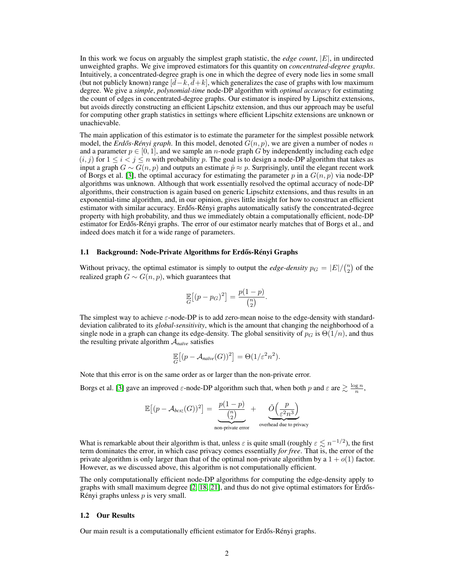In this work we focus on arguably the simplest graph statistic, the *edge count*, |E|, in undirected unweighted graphs. We give improved estimators for this quantity on *concentrated-degree graphs*. Intuitively, a concentrated-degree graph is one in which the degree of every node lies in some small (but not publicly known) range  $[\bar{d}-k, \bar{d}+k]$ , which generalizes the case of graphs with low maximum degree. We give a *simple*, *polynomial-time* node-DP algorithm with *optimal accuracy* for estimating the count of edges in concentrated-degree graphs. Our estimator is inspired by Lipschitz extensions, but avoids directly constructing an efficient Lipschitz extension, and thus our approach may be useful for computing other graph statistics in settings where efficient Lipschitz extensions are unknown or unachievable.

The main application of this estimator is to estimate the parameter for the simplest possible network model, the *Erdős-Rényi graph*. In this model, denoted  $G(n, p)$ , we are given a number of nodes n and a parameter  $p \in [0, 1]$ , and we sample an *n*-node graph G by independently including each edge  $(i, j)$  for  $1 \le i < j \le n$  with probability p. The goal is to design a node-DP algorithm that takes as input a graph  $G \sim G(n, p)$  and outputs an estimate  $\hat{p} \approx p$ . Surprisingly, until the elegant recent work of Borgs et al. [3], the optimal accuracy for estimating the parameter p in a  $G(n, p)$  via node-DP algorithms was unknown. Although that work essentially resolved the optimal accuracy of node-DP algorithms, their construction is again based on generic Lipschitz extensions, and thus results in an exponential-time algorithm, and, in our opinion, gives little insight for how to construct an efficient estimator with similar accuracy. Erdős-Rényi graphs automatically satisfy the concentrated-degree property with high probability, and thus we immediately obtain a computationally efficient, node-DP estimator for Erdős-Rényi graphs. The error of our estimator nearly matches that of Borgs et al., and indeed does match it for a wide range of parameters.

#### 1.1 Background: Node-Private Algorithms for Erdős-Rényi Graphs

Without privacy, the optimal estimator is simply to output the *edge-density*  $p_G = |E| / {n \choose 2}$  of the realized graph  $G \sim G(n, p)$ , which guarantees that

$$
\mathbb{E}_{G}[(p-p_G)^2] = \frac{p(1-p)}{\binom{n}{2}}.
$$

The simplest way to achieve  $\varepsilon$ -node-DP is to add zero-mean noise to the edge-density with standarddeviation calibrated to its *global-sensitivity*, which is the amount that changing the neighborhood of a single node in a graph can change its edge-density. The global sensitivity of  $p_G$  is  $\Theta(1/n)$ , and thus the resulting private algorithm A*naïve* satisfies

$$
\mathbb{E}_{G}[(p - A_{naive}(G))^2] = \Theta(1/\varepsilon^2 n^2).
$$

Note that this error is on the same order as or larger than the non-private error.

Borgs et al. [3] gave an improved  $\varepsilon$ -node-DP algorithm such that, when both p and  $\varepsilon$  are  $\geq \frac{\log n}{n}$ ,

$$
\mathbb{E}\left[ (p - \mathcal{A}_{bcsz}(G))^2 \right] = \underbrace{\frac{p(1-p)}{\binom{n}{2}}} \underset{\text{non-private error}}{\leftarrow} + \underbrace{\tilde{O}\left(\frac{p}{\varepsilon^2 n^3}\right)}_{\text{overhead due to privacy}}
$$

What is remarkable about their algorithm is that, unless  $\varepsilon$  is quite small (roughly  $\varepsilon \lesssim n^{-1/2}$ ), the first term dominates the error, in which case privacy comes essentially *for free*. That is, the error of the private algorithm is only larger than that of the optimal non-private algorithm by a  $1 + o(1)$  factor. However, as we discussed above, this algorithm is not computationally efficient.

The only computationally efficient node-DP algorithms for computing the edge-density apply to graphs with small maximum degree  $[2, 18, 21]$ , and thus do not give optimal estimators for Erdős-Rényi graphs unless  $p$  is very small.

#### 1.2 Our Results

Our main result is a computationally efficient estimator for Erdős-Rényi graphs.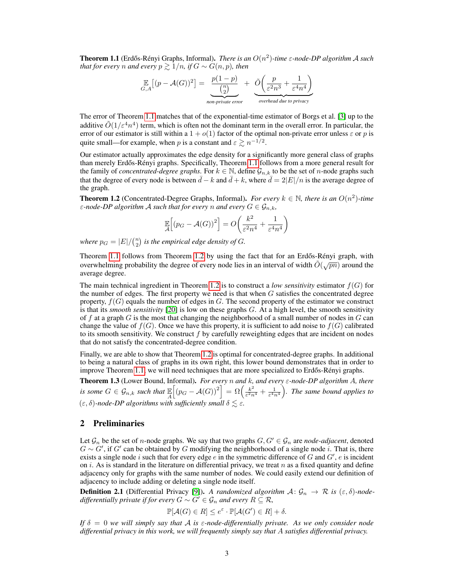**Theorem 1.1** (Erdős-Rényi Graphs, Informal). *There is an*  $O(n^2)$ -time  $\varepsilon$ -node-DP algorithm A such *that for every n and every*  $p \ge 1/n$ *, if*  $G \sim G(n, p)$ *, then* 

$$
\mathbb{E}_{G,A}\left[ (p - \mathcal{A}(G))^2 \right] = \underbrace{\frac{p(1-p)}{\binom{n}{2}}} \underset{\text{non-private error}}{\underbrace{\left( \frac{p}{\varepsilon^2 n^3} + \frac{1}{\varepsilon^4 n^4} \right)}}
$$

The error of Theorem 1.1 matches that of the exponential-time estimator of Borgs et al. [3] up to the additive  $\tilde{O}(1/\varepsilon^4 n^4)$  term, which is often not the dominant term in the overall error. In particular, the error of our estimator is still within a  $1 + o(1)$  factor of the optimal non-private error unless  $\varepsilon$  or p is quite small—for example, when p is a constant and  $\varepsilon \gtrsim n^{-1/2}$ .

Our estimator actually approximates the edge density for a significantly more general class of graphs than merely Erdős-Rényi graphs. Specifically, Theorem 1.1 follows from a more general result for the family of *concentrated-degree graphs*. For  $k \in \mathbb{N}$ , define  $\mathcal{G}_{n,k}$  to be the set of *n*-node graphs such that the degree of every node is between  $\bar{d} - k$  and  $\bar{d} + k$ , where  $\bar{d} = 2|E|/n$  is the average degree of the graph.

**Theorem 1.2** (Concentrated-Degree Graphs, Informal). *For every*  $k \in \mathbb{N}$ , there is an  $O(n^2)$ -time *ε*-node-DP algorithm A such that for every n and every  $G \in \mathcal{G}_{n,k}$ ,

$$
\mathbb{E}\left[\left(p_G - \mathcal{A}(G)\right)^2\right] = O\left(\frac{k^2}{\varepsilon^2 n^4} + \frac{1}{\varepsilon^4 n^4}\right)
$$

where  $p_G = |E|/{n \choose 2}$  is the empirical edge density of G.

Theorem 1.1 follows from Theorem 1.2 by using the fact that for an Erdős-Rényi graph, with overwhelming probability the degree of every node lies in an interval of width  $\tilde{O}(\sqrt{pn})$  around the average degree.

The main technical ingredient in Theorem 1.2 is to construct a *low sensitivity* estimator  $f(G)$  for the number of edges. The first property we need is that when  $G$  satisfies the concentrated degree property,  $f(G)$  equals the number of edges in G. The second property of the estimator we construct is that its *smooth sensitivity* [20] is low on these graphs G. At a high level, the smooth sensitivity of  $f$  at a graph  $G$  is the most that changing the neighborhood of a small number of nodes in  $G$  can change the value of  $f(G)$ . Once we have this property, it is sufficient to add noise to  $f(G)$  calibrated to its smooth sensitivity. We construct  $f$  by carefully reweighting edges that are incident on nodes that do not satisfy the concentrated-degree condition.

Finally, we are able to show that Theorem 1.2 is optimal for concentrated-degree graphs. In additional to being a natural class of graphs in its own right, this lower bound demonstrates that in order to improve Theorem 1.1, we will need techniques that are more specialized to Erdős-Rényi graphs.

Theorem 1.3 (Lower Bound, Informal). *For every* n *and* k*, and every* ε*-node-DP algorithm* A*, there is some*  $G \in \mathcal{G}_{n,k}$  *such that*  $\mathbb{E}_A$  $\left[ (p_G - \mathcal{A}(G))^2 \right] = \Omega \left( \frac{k^2}{\varepsilon^2 n} \right)$  $\frac{k^2}{\varepsilon^2 n^4} + \frac{1}{\varepsilon^4 n^4}$ ). The same bound applies to  $(\varepsilon, \delta)$ -node-DP algorithms with sufficiently small  $\delta \lesssim \varepsilon$ .

# 2 Preliminaries

Let  $\mathcal{G}_n$  be the set of *n*-node graphs. We say that two graphs  $G, G' \in \mathcal{G}_n$  are *node-adjacent*, denoted  $G \sim G'$ , if G' can be obtained by G modifying the neighborhood of a single node i. That is, there exists a single node i such that for every edge  $e$  in the symmetric difference of  $G$  and  $G'$ ,  $e$  is incident on i. As is standard in the literature on differential privacy, we treat n as a fixed quantity and define adjacency only for graphs with the same number of nodes. We could easily extend our definition of adjacency to include adding or deleting a single node itself.

**Definition 2.1** (Differential Privacy [9]). A randomized algorithm  $A: \mathcal{G}_n \to \mathcal{R}$  is  $(\varepsilon, \delta)$ -node*differentially private if for every*  $G \sim G' \in \mathcal{G}_n$  *and every*  $R \subseteq \mathcal{R}$ *,* 

$$
\mathbb{P}[\mathcal{A}(G) \in R] \le e^{\varepsilon} \cdot \mathbb{P}[\mathcal{A}(G') \in R] + \delta.
$$

*If*  $\delta = 0$  *we will simply say that*  $\hat{A}$  *is*  $\epsilon$ -node-differentially private. As we only consider node *differential privacy in this work, we will frequently simply say that* A *satisfies differential privacy.*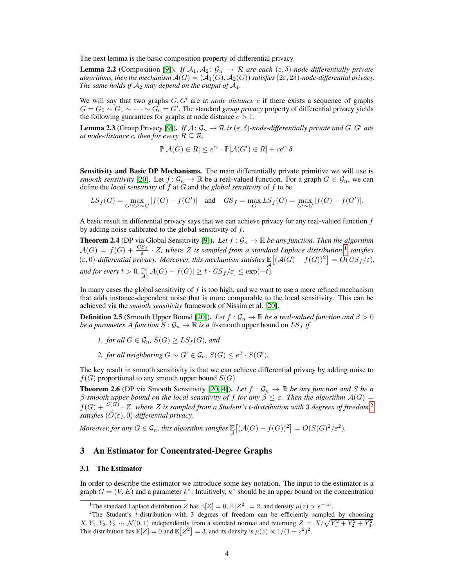The next lemma is the basic composition property of differential privacy.

**Lemma 2.2** (Composition [9]). *If*  $A_1, A_2$ :  $G_n \rightarrow \mathbb{R}$  *are each*  $(\varepsilon, \delta)$ -node-differentially private *algorithms, then the mechanism*  $\mathcal{A}(G) = (\mathcal{A}_1(G), \mathcal{A}_2(G))$  *satisfies* ( $2\varepsilon, 2\delta$ )-node-differential privacy. *The same holds if*  $A_2$  *may depend on the output of*  $A_1$ *.* 

We will say that two graphs  $G, G'$  are at *node distance*  $c$  if there exists a sequence of graphs  $G = G_0 \sim G_1 \sim \cdots \sim G_c = G'$ . The standard *group privacy* property of differential privacy yields the following guarantees for graphs at node distance  $c > 1$ .

**Lemma 2.3** (Group Privacy [9]). *If*  $A: \mathcal{G}_n \to \mathcal{R}$  *is*  $(\varepsilon, \delta)$ *-node-differentially private and*  $G, G'$  *are at node-distance c, then for every*  $R \subseteq \mathcal{R}$ *,* 

$$
\mathbb{P}[\mathcal{A}(G) \in R] \le e^{c\varepsilon} \cdot \mathbb{P}[\mathcal{A}(G') \in R] + ce^{c\varepsilon} \delta.
$$

Sensitivity and Basic DP Mechanisms. The main differentially private primitive we will use is *smooth sensitivity* [20]. Let  $f: \mathcal{G}_n \to \mathbb{R}$  be a real-valued function. For a graph  $G \in \mathcal{G}_n$ , we can define the *local sensitivity* of f at G and the *global sensitivity* of f to be

$$
LS_f(G) = \max_{G': G' \sim G} |f(G) - f(G')| \quad \text{and} \quad GS_f = \max_G LS_f(G) = \max_{G' \sim G} |f(G) - f(G')|.
$$

A basic result in differential privacy says that we can achieve privacy for any real-valued function  $f$ by adding noise calibrated to the global sensitivity of f.

**Theorem 2.4** (DP via Global Sensitivity [9]). Let  $f : \mathcal{G}_n \to \mathbb{R}$  be any function. Then the algorithm  $\mathcal{A}(G) = f(G) + \frac{GS_f}{\varepsilon} \cdot Z$ , where Z is sampled from a standard Laplace distribution,<sup>1</sup> satisfies ( $\varepsilon$ , 0)*-differential privacy. Moreover, this mechanism satisfies*  $\mathbb{E}[ (\mathcal{A}(G) - f(G))^2 ] = O(GS_f/\varepsilon)$ , *and for every*  $t > 0$ ,  $\mathbb{P}[\vert \mathcal{A}(G) - f(G) \vert \geq t \cdot GS_f/\varepsilon] \leq \exp(-t)$ .

In many cases the global sensitivity of  $f$  is too high, and we want to use a more refined mechanism that adds instance-dependent noise that is more comparable to the local sensitivity. This can be achieved via the *smooth sensitivity* framework of Nissim et al. [20].

**Definition 2.5** (Smooth Upper Bound [20]). Let  $f : \mathcal{G}_n \to \mathbb{R}$  be a real-valued function and  $\beta > 0$ *be a parameter. A function*  $S: \mathcal{G}_n \to \mathbb{R}$  *is a*  $\beta$ *-smooth upper bound on*  $LS_f$  *if* 

- *1. for all*  $G \in \mathcal{G}_n$ ,  $S(G) \geq LS_f(G)$ , and
- *2. for all neighboring*  $G \sim G' \in \mathcal{G}_n$ ,  $S(G) \leq e^{\beta} \cdot S(G')$ .

The key result in smooth sensitivity is that we can achieve differential privacy by adding noise to  $f(G)$  proportional to any smooth upper bound  $S(G)$ .

**Theorem 2.6** (DP via Smooth Sensitivity [20, 4]). Let  $f : \mathcal{G}_n \to \mathbb{R}$  be any function and S be a β-smooth upper bound on the local sensitivity of f for any  $\beta \leq \varepsilon$ . Then the algorithm  $\mathcal{A}(G)$  =  $f(G) + \frac{S(G)}{S(G)} \cdot Z$ , where Z is sampled from a Student's t-distribution with 3 degrees of freedom,<sup>2</sup> *satisfies*  $(\tilde{O}(\varepsilon), 0)$ *-differential privacy.* 

*Moreover, for any*  $G \in \mathcal{G}_n$ *, this algorithm satisfies*  $\mathbb{E}\left[ (\mathcal{A}(G) - f(G))^2 \right] = O(S(G)^2 / \varepsilon^2)$ *.* 

## 3 An Estimator for Concentrated-Degree Graphs

#### 3.1 The Estimator

In order to describe the estimator we introduce some key notation. The input to the estimator is a graph  $G = (V, E)$  and a parameter  $k^*$ . Intuitively,  $k^*$  should be an upper bound on the concentration

<sup>&</sup>lt;sup>1</sup>The standard Laplace distribution Z has  $\mathbb{E}[Z] = 0, \mathbb{E}[Z^2] = 2$ , and density  $\mu(z) \propto e^{-|z|}$ .

<sup>&</sup>lt;sup>2</sup>The Student's t-distribution with 3 degrees of freedom can be efficiently sampled by choosing  $X, Y_1, Y_2, Y_3 \sim \mathcal{N}(0, 1)$  independently from a standard normal and returning  $Z = X/\sqrt{Y_1^2 + Y_2^2 + Y_3^2}$ . This distribution has  $\mathbb{E}[Z] = 0$  and  $\mathbb{E}[Z^2] = 3$ , and its density is  $\mu(z) \propto 1/(1+z^2)^2$ .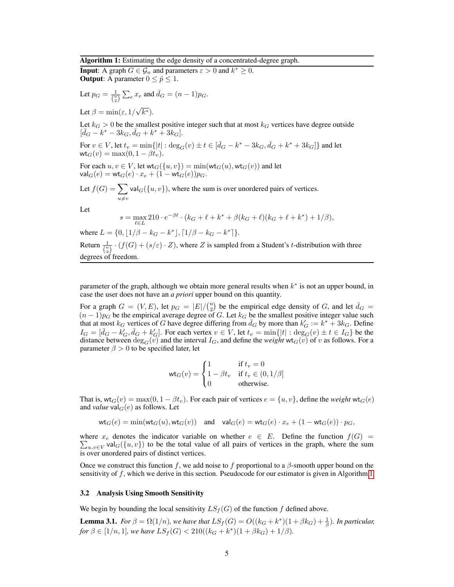Algorithm 1: Estimating the edge density of a concentrated-degree graph.

**Input:** A graph  $G \in \mathcal{G}_n$  and parameters  $\varepsilon > 0$  and  $k^* \geq 0$ . **Output:** A parameter  $0 \le \hat{p} \le 1$ .

Let 
$$
p_G = \frac{1}{\binom{n}{2}} \sum_e x_e
$$
 and  $\bar{d}_G = (n-1)p_G$ .

Let  $\beta = \min(\varepsilon, 1)$  $\overline{k^*}).$ 

Let  $k_G > 0$  be the smallest positive integer such that at most  $k_G$  vertices have degree outside  $[\bar{d}_{G} - k^* - 3k_G, \bar{d}_{G} + k^* + 3k_G].$ 

For  $v \in V$ , let  $t_v = \min\{|t| : \deg_G(v) \pm t \in [\bar{d}_G - k^* - 3k_G, \bar{d}_G + k^* + 3k_G]\}$  and let  $\mathsf{wt}_G(v) = \max(0, 1 - \beta t_v).$ 

For each  $u, v \in V$ , let wt $_G(\{u, v\}) = \min(\mathsf{wt}_G(u), \mathsf{wt}_G(v))$  and let  $\mathsf{val}_G(e) = \mathsf{wt}_G(e) \cdot x_e + (1 - \mathsf{wt}_G(e)) p_G.$ 

Let  $f(G) = \sum$  $u \neq v$ val<sub>G</sub>( $\{u, v\}$ ), where the sum is over unordered pairs of vertices.

Let

$$
s = \max_{\ell \in L} 210 \cdot e^{-\beta \ell} \cdot (k_G + \ell + k^* + \beta (k_G + \ell)(k_G + \ell + k^*) + 1/\beta),
$$

where  $L = \{0, \lfloor 1/\beta - k_G - k^* \rfloor, \lceil 1/\beta - k_G - k^* \rceil \}.$ Return  $\frac{1}{\binom{n}{2}} \cdot (f(G) + (s/\varepsilon) \cdot Z)$ , where Z is sampled from a Student's t-distribution with three degrees of freedom.

parameter of the graph, although we obtain more general results when  $k^*$  is not an upper bound, in case the user does not have an *a priori* upper bound on this quantity.

For a graph  $G = (V, E)$ , let  $p_G = |E| / {n \choose 2}$  be the empirical edge density of G, and let  $\bar{d}_G =$  $(n-1)p_G$  be the empirical average degree of G. Let  $k_G$  be the smallest positive integer value such that at most  $k_G$  vertices of G have degree differing from  $\bar{d}_G$  by more than  $k_G' := k^* + 3k_G$ . Define  $I_G = [\bar{d}_G - k'_G, \bar{d}_G + k'_G].$  For each vertex  $v \in V$ , let  $t_v = \min\{|t| : \deg_G(v) \pm t \in I_G\}$  be the distance between  $\deg_G(v)$  and the interval  $I_G$ , and define the *weight*  $wt_G(v)$  of v as follows. For a parameter  $\beta > 0$  to be specified later, let

$$
\text{wt}_G(v) = \begin{cases} 1 & \text{if } t_v = 0\\ 1 - \beta t_v & \text{if } t_v \in (0, 1/\beta] \\ 0 & \text{otherwise.} \end{cases}
$$

That is,  $wt_G(v) = \max(0, 1 - \beta t_v)$ . For each pair of vertices  $e = \{u, v\}$ , define the *weight*  $wt_G(e)$ and *value*  $\mathsf{val}_G(e)$  as follows. Let

$$
\text{wt}_G(e) = \min(\text{wt}_G(u), \text{wt}_G(v)) \quad \text{and} \quad \text{val}_G(e) = \text{wt}_G(e) \cdot x_e + (1 - \text{wt}_G(e)) \cdot p_G,
$$

where  $x_e$  denotes the indicator variable on whether  $e \in E$ . Define the function  $f(G)$  =  $\sum_{u,v \in V}$  val $_G(\{u, v\})$  to be the total value of all pairs of vertices in the graph, where the sum is over unordered pairs of distinct vertices.

Once we construct this function f, we add noise to f proportional to a  $\beta$ -smooth upper bound on the sensitivity of  $f$ , which we derive in this section. Pseudocode for our estimator is given in Algorithm 1.

## 3.2 Analysis Using Smooth Sensitivity

We begin by bounding the local sensitivity  $LS_f(G)$  of the function f defined above.

**Lemma 3.1.** *For*  $\beta = \Omega(1/n)$ *, we have that*  $LS_f(G) = O((k_G + k^*)(1 + \beta k_G) + \frac{1}{\beta})$ *. In particular, for*  $\beta \in [1/n, 1]$ *, we have*  $LS_f(G) < 210((k_G + k^*)(1 + \beta k_G) + 1/\beta)$ *.*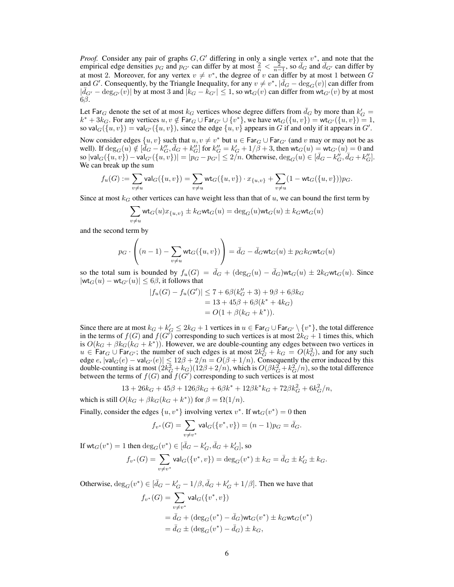*Proof.* Consider any pair of graphs  $G, G'$  differing in only a single vertex  $v^*$ , and note that the empirical edge densities  $p_G$  and  $p_{G'}$  can differ by at most  $\frac{2}{n} < \frac{2}{n-1}$ , so  $\bar{d}_G$  and  $\bar{d}_{G'}$  can differ by at most 2. Moreover, for any vertex  $v \neq v^*$ , the degree of v can differ by at most 1 between G and G'. Consequently, by the Triangle Inequality, for any  $v \neq v^*$ ,  $|\bar{d}_G - \deg_G(v)|$  can differ from  $|\bar{d}_{G'} - \deg_{G'}(v)|$  by at most 3 and  $|k_G - k_{G'}| \leq 1$ , so wt<sub>G</sub>(v) can differ from wt<sub>G'</sub>(v) by at most 6β.

Let Far<sub>G</sub> denote the set of at most  $k_G$  vertices whose degree differs from  $\bar{d}_G$  by more than  $k_G' =$  $k^* + 3k_G$ . For any vertices  $u, v \notin \mathsf{Far}_G \cup \mathsf{Far}_{G'} \cup \{v^*\}$ , we have  $\mathsf{wt}_G(\{u, v\}) = \mathsf{wt}_{G'}(\{u, v\}) = 1$ , so val $_G(\{u, v\}) = \text{val}_{G}(\{u, v\})$ , since the edge  $\{u, v\}$  appears in G if and only if it appears in G'.

Now consider edges  $\{u, v\}$  such that  $u, v \neq v^*$  but  $u \in \text{Far}_G \cup \text{Far}_{G'}$  (and v may or may not be as well). If  $\deg_G(u) \notin [\overline{d}_G - k_G'', \overline{d}_G + k_G'']$  for  $k_G'' = k_G' + 1/\beta + 3$ , then  $\text{wt}_G(u) = \text{wt}_{G'}(u) = 0$  and so  $|\text{val}_G(\{u, v\}) - \text{val}_{G'}(\{u, v\})| = |p_G - p_{G'}| \le 2/n$ . Otherwise,  $\deg_G(u) \in [\bar{d}_G - k_G'', \bar{d}_G + k_G'']$ . We can break up the sum

$$
f_u(G) := \sum_{v \neq u} \mathsf{val}_G(\{u, v\}) = \sum_{v \neq u} \mathsf{wt}_G(\{u, v\}) \cdot x_{\{u, v\}} + \sum_{v \neq u} (1 - \mathsf{wt}_G(\{u, v\})) p_G.
$$

Since at most  $k_G$  other vertices can have weight less than that of u, we can bound the first term by

$$
\sum_{v \neq u} \textsf{wt}_G(u) x_{\{u,v\}} \pm k_G \textsf{wt}_G(u) = \deg_G(u) \textsf{wt}_G(u) \pm k_G \textsf{wt}_G(u)
$$

and the second term by

$$
p_G \cdot \left( (n-1) - \sum_{v \neq u} \text{wt}_G(\{u, v\}) \right) = \bar{d}_G - \bar{d}_G \text{wt}_G(u) \pm p_G k_G \text{wt}_G(u)
$$

so the total sum is bounded by  $f_u(G) = \bar{d}_G + (\deg_G(u) - \bar{d}_G)wt_G(u) \pm 2k_Gwt_G(u)$ . Since  $|\text{wt}_G(u) - \text{wt}_{G'}(u)| \leq 6\beta$ , it follows that

$$
|f_u(G) - f_u(G')| \le 7 + 6\beta (k''_G + 3) + 9\beta + 6\beta k_G
$$
  
= 13 + 45\beta + 6\beta (k^\* + 4k\_G)  
= O(1 + \beta (k\_G + k^\*)).

Since there are at most  $k_G + k_G' \leq 2k_G + 1$  vertices in  $u \in \text{Far}_G \cup \text{Far}_{G'} \setminus \{v^*\}$ , the total difference in the terms of  $f(G)$  and  $f(G')$  corresponding to such vertices is at most  $2k_G + 1$  times this, which is  $O(k_G + \beta k_G(k_G + k^*))$ . However, we are double-counting any edges between two vertices in  $u \in \text{Far}_G \cup \text{Far}_{G'}$ ; the number of such edges is at most  $2k_G^2 + k_G = O(k_G^2)$ , and for any such edge  $e$ ,  $|\text{val}_G(e) - \text{val}_{G'}(e)| \leq 12\beta + 2/n = O(\beta + 1/n)$ . Consequently the error induced by this double-counting is at most  $(2k_G^2 + k_G)(12\beta + 2/n)$ , which is  $O(\beta k_G^2 + k_G^2/n)$ , so the total difference between the terms of  $f(G)$  and  $f(G')$  corresponding to such vertices is at most

$$
13 + 26k_G + 45\beta + 126\beta k_G + 6\beta k^* + 12\beta k^* k_G + 72\beta k_G^2 + 6k_G^2/n,
$$

which is still  $O(k_G + \beta k_G(k_G + k^*))$  for  $\beta = \Omega(1/n)$ .

Finally, consider the edges  $\{u, v^*\}$  involving vertex  $v^*$ . If  $wt_G(v^*) = 0$  then

$$
f_{v^*}(G) = \sum_{v \neq v^*} \text{val}_G(\{v^*, v\}) = (n-1)p_G = \bar{d}_G.
$$

If  $\text{wt}_G(v^*) = 1$  then  $\deg_G(v^*) \in [\bar{d}_G - k_G', \bar{d}_G + k_G'],$  so

$$
f_{v^*}(G) = \sum_{v \neq v^*} \text{val}_G(\{v^*, v\}) = \deg_G(v^*) \pm k_G = \bar{d}_G \pm k'_G \pm k_G.
$$

Otherwise,  $\deg_G(v^*) \in [\bar{d}_G - k'_G - 1/\beta, \bar{d}_G + k'_G + 1/\beta]$ . Then we have that

$$
f_{v^*}(G) = \sum_{v \neq v^*} \text{val}_G(\{v^*, v\})
$$
  
=  $\bar{d}_G + (\deg_G(v^*) - \bar{d}_G) \text{wt}_G(v^*) \pm k_G \text{wt}_G(v^*)$   
=  $\bar{d}_G \pm (\deg_G(v^*) - \bar{d}_G) \pm k_G$ ,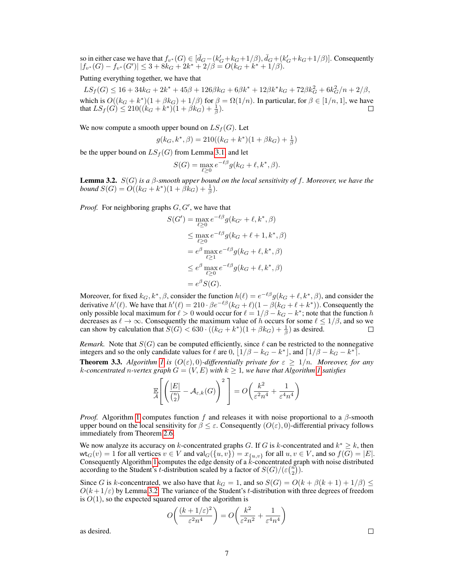so in either case we have that  $f_{v^*}(G) \in [\bar{d}_G - (k'_G + k_G + 1/\beta), \bar{d}_G + (k'_G + k_G + 1/\beta)].$  Consequently  $|f_{v^*}(G) - f_{v^*}(G')| \leq 3 + 8k_G + 2k^* + 2/\beta = O(k_G + k^* + 1/\beta).$ 

## Putting everything together, we have that

 $LS_f(G) \leq 16 + 34k_G + 2k^* + 45\beta + 126\beta k_G + 6\beta k^* + 12\beta k^* k_G + 72\beta k_G^2 + 6k_G^2/n + 2/\beta,$ which is  $O((k_G + k^*)(1 + \beta k_G) + 1/\beta)$  for  $\beta = \Omega(1/n)$ . In particular, for  $\beta \in [1/n, 1]$ , we have that  $LS_f(G) \leq 210((k_G + k^*)(1 + \beta k_G) + \frac{1}{\beta}).$ 

We now compute a smooth upper bound on  $LS_f(G)$ . Let

$$
g(k_G, k^*, \beta) = 210((k_G + k^*)(1 + \beta k_G) + \frac{1}{\beta})
$$

be the upper bound on  $LS_f(G)$  from Lemma 3.1, and let

$$
S(G) = \max_{\ell \ge 0} e^{-\ell \beta} g(k_G + \ell, k^*, \beta).
$$

Lemma 3.2. S(G) *is a* β*-smooth upper bound on the local sensitivity of* f*. Moreover, we have the bound*  $S(G) = O((k_G + k^*)(1 + \hat{\beta} \hat{k}_G) + \frac{1}{\beta}).$ 

*Proof.* For neighboring graphs  $G, G'$ , we have that

$$
S(G') = \max_{\ell \geq 0} e^{-\ell \beta} g(k_{G'} + \ell, k^*, \beta)
$$
  
\n
$$
\leq \max_{\ell \geq 0} e^{-\ell \beta} g(k_G + \ell + 1, k^*, \beta)
$$
  
\n
$$
= e^{\beta} \max_{\ell \geq 1} e^{-\ell \beta} g(k_G + \ell, k^*, \beta)
$$
  
\n
$$
\leq e^{\beta} \max_{\ell \geq 0} e^{-\ell \beta} g(k_G + \ell, k^*, \beta)
$$
  
\n
$$
= e^{\beta} S(G).
$$

Moreover, for fixed  $k_G, k^*, \beta$ , consider the function  $h(\ell) = e^{-\ell \beta} g(k_G + \ell, k^*, \beta)$ , and consider the derivative  $h'(\ell)$ . We have that  $h'(\ell) = 210 \cdot \beta e^{-\ell \beta} (k_G + \ell)(1 - \beta(k_G + \ell + k^*))$ . Consequently the only possible local maximum for  $\ell > 0$  would occur for  $\ell = 1/\beta - k_G - k^*$ ; note that the function h decreases as  $\ell \to \infty$ . Consequently the maximum value of h occurs for some  $\ell \leq 1/\beta$ , and so we can show by calculation that  $S(G) < 630 \cdot ((k_G + k^*)(1 + \beta k_G) + \frac{1}{\beta})$  as desired.  $\Box$ 

*Remark.* Note that  $S(G)$  can be computed efficiently, since  $\ell$  can be restricted to the nonnegative integers and so the only candidate values for  $\ell$  are 0,  $\left[1/\beta - k_G - k^*\right]$ , and  $\left[1/\beta - k_G - k^*\right]$ . **Theorem 3.3.** *Algorithm 1* is  $(O(\varepsilon), 0)$ *-differentially private for*  $\varepsilon \geq 1/n$ *. Moreover, for any k*-concentrated n-vertex graph  $G = (V, E)$  with  $k \geq 1$ , we have that Algorithm 1 satisfies

$$
\mathbb{E}\left[\left(\frac{|E|}{\binom{n}{2}} - \mathcal{A}_{\varepsilon,k}(G)\right)^2\right] = O\left(\frac{k^2}{\varepsilon^2 n^4} + \frac{1}{\varepsilon^4 n^4}\right)
$$

*Proof.* Algorithm 1 computes function f and releases it with noise proportional to a  $\beta$ -smooth upper bound on the local sensitivity for  $\beta \leq \varepsilon$ . Consequently  $(O(\varepsilon), 0)$ -differential privacy follows immediately from Theorem 2.6.

We now analyze its accuracy on k-concentrated graphs G. If G is k-concentrated and  $k^* \geq k$ , then  $\text{wt}_G(v) = 1$  for all vertices  $v \in V$  and  $\text{val}_G(\{u, v\}) = x_{\{u, v\}}$  for all  $u, v \in V$ , and so  $f(G) = |E|$ . Consequently Algorithm 1 computes the edge density of a  $k$ -concentrated graph with noise distributed according to the Student's *t*-distribution scaled by a factor of  $S(G)/(\varepsilon{n \choose 2})$ .

Since G is k-concentrated, we also have that  $k_G = 1$ , and so  $S(G) = O(k + \beta(k+1) + 1/\beta) \le$  $O(k + 1/\varepsilon)$  by Lemma 3.2. The variance of the Student's t-distribution with three degrees of freedom is  $O(1)$ , so the expected squared error of the algorithm is

$$
O\left(\frac{(k+1/\varepsilon)^2}{\varepsilon^2n^4}\right) = O\left(\frac{k^2}{\varepsilon^2n^2} + \frac{1}{\varepsilon^4n^4}\right)
$$

as desired.

 $\Box$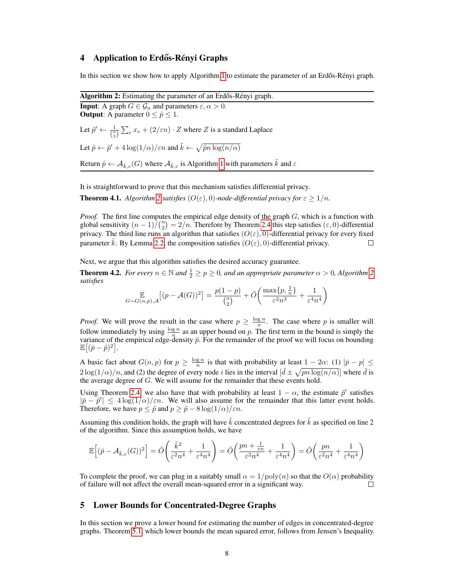## 4 Application to Erdős-Rényi Graphs

In this section we show how to apply Algorithm 1 to estimate the parameter of an Erdős-Rényi graph.

Algorithm 2: Estimating the parameter of an Erdős-Rényi graph. **Input:** A graph  $G \in \mathcal{G}_n$  and parameters  $\varepsilon, \alpha > 0$ . **Output:** A parameter  $0 \le \hat{p} \le 1$ . Let  $\tilde{p}' \leftarrow \frac{1}{\binom{n}{2}} \sum_{e} x_e + (2/\varepsilon n) \cdot Z$  where Z is a standard Laplace Let  $\tilde{p} \leftarrow \tilde{p}' + 4\log(1/\alpha)/\varepsilon n$  and  $\tilde{k} \leftarrow \sqrt{\tilde{p}n\log(n/\alpha)}$ Return  $\hat{p} \leftarrow A_{\tilde{k},\varepsilon}(G)$  where  $A_{\tilde{k},\varepsilon}$  is Algorithm 1 with parameters  $\tilde{k}$  and  $\varepsilon$ 

It is straightforward to prove that this mechanism satisfies differential privacy.

**Theorem 4.1.** *Algorithm* 2 *satisfies*  $(O(\varepsilon), 0)$ *-node-differential privacy for*  $\varepsilon \geq 1/n$ *.* 

*Proof.* The first line computes the empirical edge density of the graph G, which is a function with global sensitivity  $(n-1)/(n/2) = 2/n$ . Therefore by Theorem 2.4 this step satisfies  $(\varepsilon, 0)$ -differential privacy. The third line runs an algorithm that satisfies  $(O(\varepsilon), 0)$ -differential privacy for every fixed parameter k. By Lemma 2.2, the composition satisfies  $(O(\varepsilon), 0)$ -differential privacy.  $\Box$ 

Next, we argue that this algorithm satisfies the desired accuracy guarantee.

**Theorem 4.2.** *For every*  $n \in \mathbb{N}$  *and*  $\frac{1}{2} \ge p \ge 0$ *, and an appropriate parameter*  $\alpha > 0$ *, Algorithm* 2 *satisfies*  $1<sub>2</sub>$ 

$$
\mathop{\mathbb{E}}_{G \sim G(n,p), \mathcal{A}} \left[ (p - \mathcal{A}(G))^2 \right] = \frac{p(1-p)}{\binom{n}{2}} + \tilde{O}\left( \frac{\max\{p, \frac{1}{n}\}}{\varepsilon^2 n^3} + \frac{1}{\varepsilon^4 n^4} \right)
$$

*Proof.* We will prove the result in the case where  $p \geq \frac{\log n}{n}$ . The case where p is smaller will follow immediately by using  $\frac{\log n}{n}$  as an upper bound on p. The first term in the bound is simply the variance of the empirical edge-density  $\bar{p}$ . For the remainder of the proof we will focus on bounding variance of the empirical edge-density  $\bar{p}$ . For the remainder of the proof we will focus on bounding  $\mathbb{E}[(\bar{p}-\hat{p})^2].$ 

A basic fact about  $G(n, p)$  for  $p \geq \frac{\log n}{n}$  is that with probability at least  $1 - 2\alpha$ : (1)  $|\bar{p} - p| \leq$  $2\log(1/\alpha)/n$ , and (2) the degree of every node *i* lies in the interval  $[\bar{d} \pm \sqrt{pn \log(n/\alpha)}]$  where  $\bar{d}$  is the average degree of  $G$ . We will assume for the remainder that these events hold.

Using Theorem 2.4, we also have that with probability at least  $1 - \alpha$ , the estimate  $\tilde{p}'$  satisfies  $|\bar{p}-\tilde{p}'| \leq 4\log(1/\alpha)/\varepsilon n$ . We will also assume for the remainder that this latter event holds. Therefore, we have  $p \leq \tilde{p}$  and  $p \geq \tilde{p} - 8 \log(1/\alpha)/\varepsilon n$ .

Assuming this condition holds, the graph will have  $k$  concentrated degrees for  $k$  as specified on line 2 of the algorithm. Since this assumption holds, we have

$$
\mathbb{E}\Big[ (\bar{p} - A_{\tilde{k},\varepsilon}(G))^2 \Big] = \tilde{O}\Bigg( \frac{\tilde{k}^2}{\varepsilon^2 n^4} + \frac{1}{\varepsilon^4 n^4} \Bigg) = \tilde{O}\Bigg( \frac{pn + \frac{1}{\varepsilon n}}{\varepsilon^2 n^4} + \frac{1}{\varepsilon^4 n^4} \Bigg) = \tilde{O}\Bigg( \frac{pn}{\varepsilon^2 n^4} + \frac{1}{\varepsilon^4 n^4} \Bigg)
$$

To complete the proof, we can plug in a suitably small  $\alpha = 1/\text{poly}(n)$  so that the  $O(\alpha)$  probability of failure will not affect the overall mean-squared error in a significant way. П

# 5 Lower Bounds for Concentrated-Degree Graphs

In this section we prove a lower bound for estimating the number of edges in concentrated-degree graphs. Theorem 5.1, which lower bounds the mean squared error, follows from Jensen's Inequality.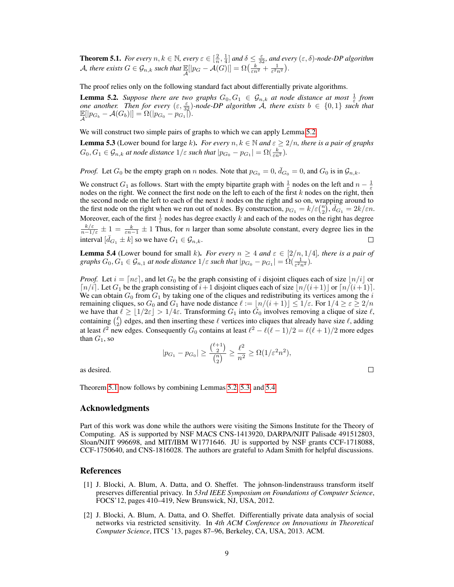**Theorem 5.1.** For every  $n, k \in \mathbb{N}$ , every  $\varepsilon \in [\frac{2}{n}, \frac{1}{4}]$  and  $\delta \leq \frac{\varepsilon}{32}$ , and every  $(\varepsilon, \delta)$ -node-DP algorithm A, there exists  $G \in \mathcal{G}_{n,k}$  such that  $\mathbb{E}[|p_G - \mathcal{A}(G)|] = \Omega\left(\frac{k}{\varepsilon n^2} + \frac{1}{\varepsilon^2 n^2}\right)$ .

The proof relies only on the following standard fact about differentially private algorithms.

**Lemma 5.2.** Suppose there are two graphs  $G_0, G_1 \in G_{n,k}$  at node distance at most  $\frac{1}{\varepsilon}$  from *one another.* Then for every  $(\varepsilon, \frac{\varepsilon}{32})$ -node-DP algorithm A, there exists  $b \in \{0,1\}$  such that  $\mathbb{E}[|p_{G_b} - A(G_b)|] = \Omega(|p_{G_0} - p_{G_1}|).$ 

We will construct two simple pairs of graphs to which we can apply Lemma 5.2.

**Lemma 5.3** (Lower bound for large k). *For every*  $n, k \in \mathbb{N}$  and  $\varepsilon \geq 2/n$ , there is a pair of graphs  $G_0, G_1 \in \mathcal{G}_{n,k}$  at node distance  $1/\varepsilon$  such that  $|p_{G_0} - p_{G_1}| = \Omega(\frac{k}{\varepsilon n^2})$ .

*Proof.* Let  $G_0$  be the empty graph on n nodes. Note that  $p_{G_0} = 0$ ,  $\bar{d}_{G_0} = 0$ , and  $G_0$  is in  $\mathcal{G}_{n,k}$ .

We construct  $G_1$  as follows. Start with the empty bipartite graph with  $\frac{1}{\varepsilon}$  nodes on the left and  $n-\frac{1}{\varepsilon}$ nodes on the right. We connect the first node on the left to each of the first  $k$  nodes on the right, then the second node on the left to each of the next  $k$  nodes on the right and so on, wrapping around to the first node on the right when we run out of nodes. By construction,  $p_{G_1} = k/\varepsilon {n \choose 2}$ ,  $\bar{d}_{G_1} = 2k/\varepsilon n$ . Moreover, each of the first  $\frac{1}{\varepsilon}$  nodes has degree exactly k and each of the nodes on the right has degree  $\frac{k/\varepsilon}{n-1/\varepsilon} \pm 1 = \frac{k}{\varepsilon n-1} \pm 1$  Thus, for *n* larger than some absolute constant, every degree lies in the interval  $[\bar{d}_{G_1} \pm k]$  so we have  $G_1 \in \mathcal{G}_{n,k}$ .  $\Box$ 

**Lemma 5.4** (Lower bound for small k). *For every*  $n \geq 4$  *and*  $\varepsilon \in [2/n, 1/4]$ *, there is a pair of graphs*  $G_0, G_1 \in \mathcal{G}_{n,1}$  *at node distance*  $1/\varepsilon$  *such that*  $|p_{G_0} - p_{G_1}| = \Omega(\frac{1}{\varepsilon^2 n^2})$ .

*Proof.* Let  $i = \lfloor n \varepsilon \rfloor$ , and let  $G_0$  be the graph consisting of i disjoint cliques each of size  $\lfloor n/i \rfloor$  or  $\lceil n/i \rceil$ . Let  $G_1$  be the graph consisting of  $i+1$  disjoint cliques each of size  $\lceil n/(i+1) \rceil$  or  $\lceil n/(i+1) \rceil$ . We can obtain  $G_0$  from  $G_1$  by taking one of the cliques and redistributing its vertices among the i remaining cliques, so  $G_0$  and  $G_1$  have node distance  $\ell := \lfloor n/(i + 1) \rfloor \leq 1/\varepsilon$ . For  $1/4 \geq \varepsilon \geq 2/n$ we have that  $\ell \geq \lfloor 1/2\varepsilon \rfloor > 1/4\varepsilon$ . Transforming  $G_1$  into  $\bar{G}_0$  involves removing a clique of size  $\ell$ , containing  $\binom{\ell}{2}$  edges, and then inserting these  $\ell$  vertices into cliques that already have size  $\ell$ , adding at least  $\ell^2$  new edges. Consequently  $G_0$  contains at least  $\ell^2 - \ell(\ell - 1)/2 = \ell(\ell + 1)/2$  more edges than  $G_1$ , so

$$
|p_{G_1} - p_{G_0}| \ge \frac{\binom{\ell+1}{2}}{\binom{n}{2}} \ge \frac{\ell^2}{n^2} \ge \Omega(1/\varepsilon^2 n^2),
$$

 $\Box$ 

as desired.

Theorem 5.1 now follows by combining Lemmas 5.2, 5.3, and 5.4.

## Acknowledgments

Part of this work was done while the authors were visiting the Simons Institute for the Theory of Computing. AS is supported by NSF MACS CNS-1413920, DARPA/NJIT Palisade 491512803, Sloan/NJIT 996698, and MIT/IBM W1771646. JU is supported by NSF grants CCF-1718088, CCF-1750640, and CNS-1816028. The authors are grateful to Adam Smith for helpful discussions.

#### References

- [1] J. Blocki, A. Blum, A. Datta, and O. Sheffet. The johnson-lindenstrauss transform itself preserves differential privacy. In *53rd IEEE Symposium on Foundations of Computer Science*, FOCS'12, pages 410–419, New Brunswick, NJ, USA, 2012.
- [2] J. Blocki, A. Blum, A. Datta, and O. Sheffet. Differentially private data analysis of social networks via restricted sensitivity. In *4th ACM Conference on Innovations in Theoretical Computer Science*, ITCS '13, pages 87–96, Berkeley, CA, USA, 2013. ACM.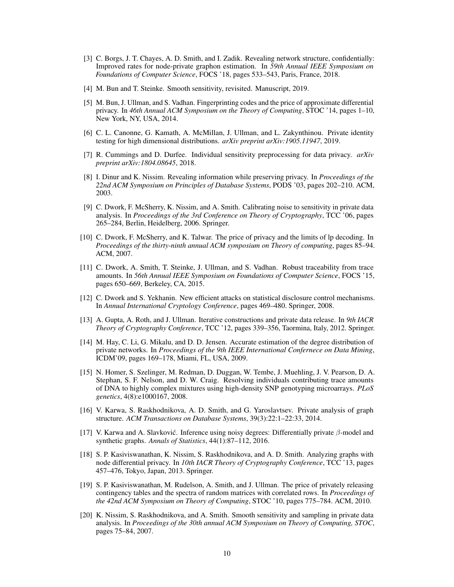- [3] C. Borgs, J. T. Chayes, A. D. Smith, and I. Zadik. Revealing network structure, confidentially: Improved rates for node-private graphon estimation. In *59th Annual IEEE Symposium on Foundations of Computer Science*, FOCS '18, pages 533–543, Paris, France, 2018.
- [4] M. Bun and T. Steinke. Smooth sensitivity, revisited. Manuscript, 2019.
- [5] M. Bun, J. Ullman, and S. Vadhan. Fingerprinting codes and the price of approximate differential privacy. In *46th Annual ACM Symposium on the Theory of Computing*, STOC '14, pages 1–10, New York, NY, USA, 2014.
- [6] C. L. Canonne, G. Kamath, A. McMillan, J. Ullman, and L. Zakynthinou. Private identity testing for high dimensional distributions. *arXiv preprint arXiv:1905.11947*, 2019.
- [7] R. Cummings and D. Durfee. Individual sensitivity preprocessing for data privacy. *arXiv preprint arXiv:1804.08645*, 2018.
- [8] I. Dinur and K. Nissim. Revealing information while preserving privacy. In *Proceedings of the 22nd ACM Symposium on Principles of Database Systems*, PODS '03, pages 202–210. ACM, 2003.
- [9] C. Dwork, F. McSherry, K. Nissim, and A. Smith. Calibrating noise to sensitivity in private data analysis. In *Proceedings of the 3rd Conference on Theory of Cryptography*, TCC '06, pages 265–284, Berlin, Heidelberg, 2006. Springer.
- [10] C. Dwork, F. McSherry, and K. Talwar. The price of privacy and the limits of lp decoding. In *Proceedings of the thirty-ninth annual ACM symposium on Theory of computing*, pages 85–94. ACM, 2007.
- [11] C. Dwork, A. Smith, T. Steinke, J. Ullman, and S. Vadhan. Robust traceability from trace amounts. In *56th Annual IEEE Symposium on Foundations of Computer Science*, FOCS '15, pages 650–669, Berkeley, CA, 2015.
- [12] C. Dwork and S. Yekhanin. New efficient attacks on statistical disclosure control mechanisms. In *Annual International Cryptology Conference*, pages 469–480. Springer, 2008.
- [13] A. Gupta, A. Roth, and J. Ullman. Iterative constructions and private data release. In *9th IACR Theory of Cryptography Conference*, TCC '12, pages 339–356, Taormina, Italy, 2012. Springer.
- [14] M. Hay, C. Li, G. Mikalu, and D. D. Jensen. Accurate estimation of the degree distribution of private networks. In *Proceedings of the 9th IEEE International Confernece on Data Mining*, ICDM'09, pages 169–178, Miami, FL, USA, 2009.
- [15] N. Homer, S. Szelinger, M. Redman, D. Duggan, W. Tembe, J. Muehling, J. V. Pearson, D. A. Stephan, S. F. Nelson, and D. W. Craig. Resolving individuals contributing trace amounts of DNA to highly complex mixtures using high-density SNP genotyping microarrays. *PLoS genetics*, 4(8):e1000167, 2008.
- [16] V. Karwa, S. Raskhodnikova, A. D. Smith, and G. Yaroslavtsev. Private analysis of graph structure. *ACM Transactions on Database Systems*, 39(3):22:1–22:33, 2014.
- [17] V. Karwa and A. Slavković. Inference using noisy degrees: Differentially private  $\beta$ -model and synthetic graphs. *Annals of Statistics*, 44(1):87–112, 2016.
- [18] S. P. Kasiviswanathan, K. Nissim, S. Raskhodnikova, and A. D. Smith. Analyzing graphs with node differential privacy. In *10th IACR Theory of Cryptography Conference*, TCC '13, pages 457–476, Tokyo, Japan, 2013. Springer.
- [19] S. P. Kasiviswanathan, M. Rudelson, A. Smith, and J. Ullman. The price of privately releasing contingency tables and the spectra of random matrices with correlated rows. In *Proceedings of the 42nd ACM Symposium on Theory of Computing*, STOC '10, pages 775–784. ACM, 2010.
- [20] K. Nissim, S. Raskhodnikova, and A. Smith. Smooth sensitivity and sampling in private data analysis. In *Proceedings of the 30th annual ACM Symposium on Theory of Computing, STOC*, pages 75–84, 2007.